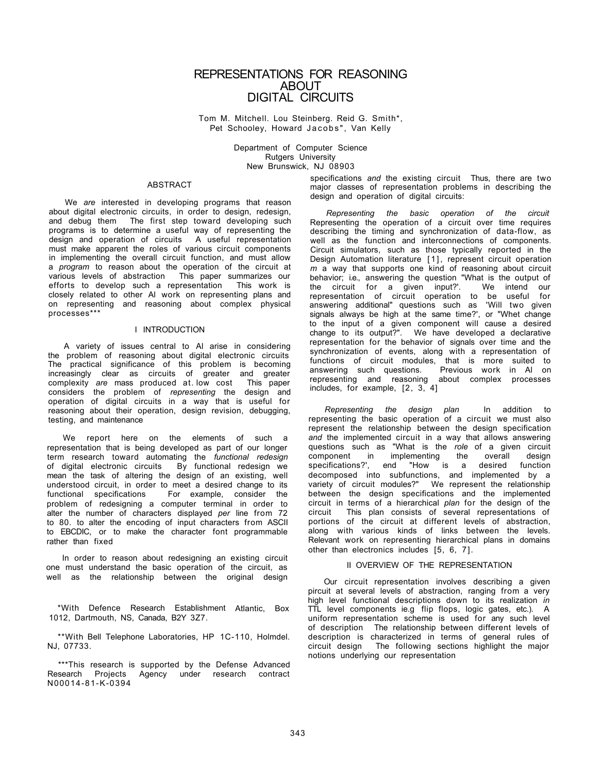# REPRESENTATIONS FOR REASONING **ABOUT** DIGITAL CIRCUITS

Tom M. Mitchell. Lou Steinberg. Reid G. Smith\*, Pet Schooley, Howard Jacobs", Van Kelly

> Department of Computer Science Rutgers University New Brunswick, NJ 08903

### ABSTRACT

We *are* interested in developing programs that reason about digital electronic circuits, in order to design, redesign, and debug them The first step toward developing such programs is to determine a useful way of representing the design and operation of circuits A useful representation must make apparent the roles of various circuit components in implementing the overall circuit function, and must allow a *program* to reason about the operation of the circuit at various levels of abstraction This paper summarizes our efforts to develop such a representation This work is closely related to other Al work on representing plans and on representing and reasoning about complex physical processes\*\*\*

#### I INTRODUCTION

A variety of issues central to Al arise in considering the problem of reasoning about digital electronic circuits The practical significance of this problem is becoming increasingly clear as circuits of greater and greater complexity *are* mass produced at. low cost This paper considers the problem of *representing* the design and operation of digital circuits in a way that is useful for reasoning about their operation, design revision, debugging, testing, and maintenance

We report here on the elements of such a representation that is being developed as part of our longer term research toward automating the *functional redesign*  of digital electronic circuits By functional redesign we mean the task of altering the design of an existing, well understood circuit, in order to meet a desired change to its functional specifications For example, consider the problem of redesigning a computer terminal in order to alter the number of characters displayed *per* line from 72 to 80. to alter the encoding of input characters from ASCII to EBCDIC, or to make the character font programmable rather than fixed

In order to reason about redesigning an existing circuit one must understand the basic operation of the circuit, as well as the relationship between the original design

\*With Defence Research Establishment Atlantic, Box 1012, Dartmouth, NS, Canada, B2Y 3Z7.

\*\*With Bell Telephone Laboratories, HP 1C-110, Holmdel. NJ, 07733.

\*\*\*This research is supported by the Defense Advanced Research Projects Agency under research contract N00014-81-K-0394

specifications *and* the existing circuit Thus, there are two major classes of representation problems in describing the design and operation of digital circuits:

*Representing the basic operation of the circuit*  Representing the operation of a circuit over time requires describing the timing and synchronization of data-flow, as well as the function and interconnections of components. Circuit simulators, such as those typically reported in the Design Automation literature [1], represent circuit operation *m* a way that supports one kind of reasoning about circuit behavior; i.e., answering the question "What is the output of the circuit for a given input?". We intend our the circuit for a given input?'. representation of circuit operation to be useful for answering additional" questions such as 'Will two given signals always be high at the same time?', or "Whet change to the input of a given component will cause a desired change to its output?". We have developed a declarative representation for the behavior of signals over time and the synchronization of events, along with a representation of functions of circuit modules, that is more suited to answering such questions. Previous work in Al on representing and reasoning about complex processes includes, for example, [2, 3, 4]

*Representing the design plan* In addition to representing the basic operation of a circuit we must also represent the relationship between the design specification *and* the implemented circuit in a way that allows answering questions such as "What is the *role* of a given circuit component in implementing the overall design<br>specifications?' end "How is a desired function specifications?', end "How is a decomposed into subfunctions, and implemented by a variety of circuit modules?" We represent the relationship between the design specifications and the implemented circuit in terms of a hierarchical *plan* for the design of the circuit This plan consists of several representations of portions of the circuit at different levels of abstraction, along with various kinds of links between the levels. Relevant work on representing hierarchical plans in domains other than electronics includes [5, 6, 7].

#### II OVERVIEW OF THE REPRESENTATION

Our circuit representation involves describing a given pircuit at several levels of abstraction, ranging from a very high level functional descriptions down to its realization *in*  TTL level components ie.g flip flops, logic gates, etc.). A uniform representation scheme is used for any such level of description The relationship between different levels of description is characterized in terms of general rules of circuit design The following sections highlight the major circuit design The following sections highlight the major notions underlying our representation